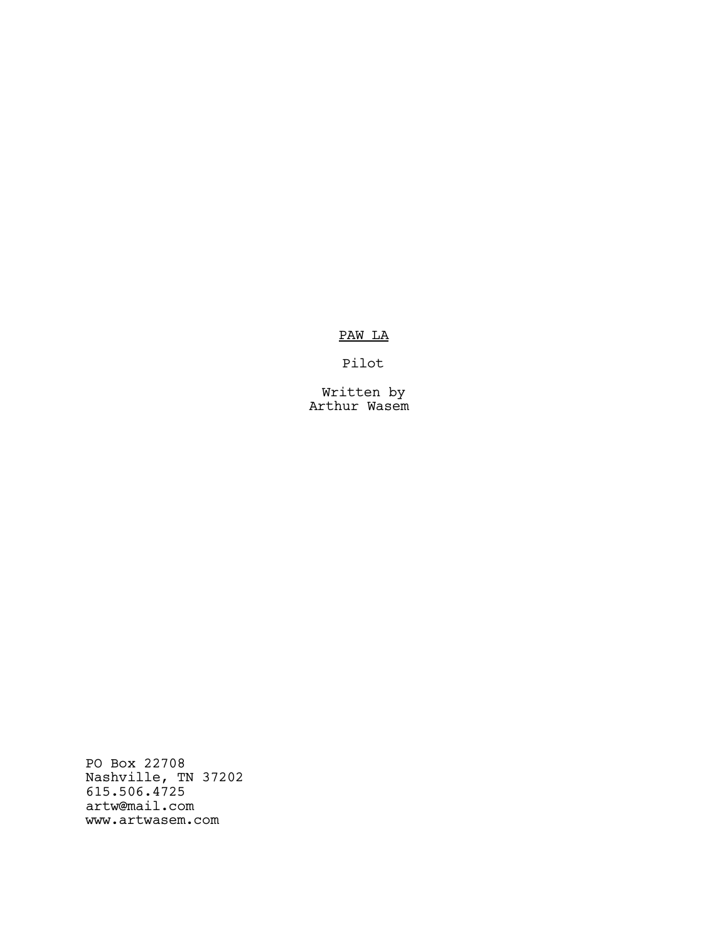PAW LA

Pilot

Written by Arthur Wasem

PO Box 22708 Nashville, TN 37202 615.506.4725 artw@mail.com www.artwasem.com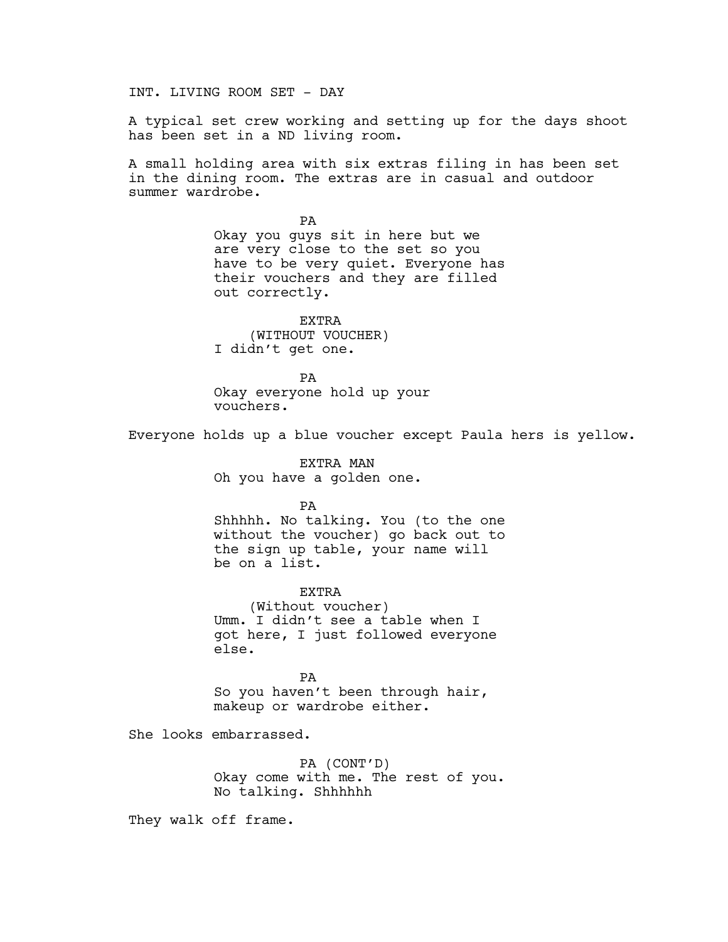INT. LIVING ROOM SET - DAY

A typical set crew working and setting up for the days shoot has been set in a ND living room.

A small holding area with six extras filing in has been set in the dining room. The extras are in casual and outdoor summer wardrobe.

> PA Okay you guys sit in here but we are very close to the set so you have to be very quiet. Everyone has their vouchers and they are filled out correctly.

EXTRA (WITHOUT VOUCHER) I didn't get one.

PA Okay everyone hold up your vouchers.

Everyone holds up a blue voucher except Paula hers is yellow.

EXTRA MAN Oh you have a golden one.

PA

Shhhhh. No talking. You (to the one without the voucher) go back out to the sign up table, your name will be on a list.

EXTRA (Without voucher) Umm. I didn't see a table when I got here, I just followed everyone else.

PA So you haven't been through hair, makeup or wardrobe either.

She looks embarrassed.

PA (CONT'D) Okay come with me. The rest of you. No talking. Shhhhhh

They walk off frame.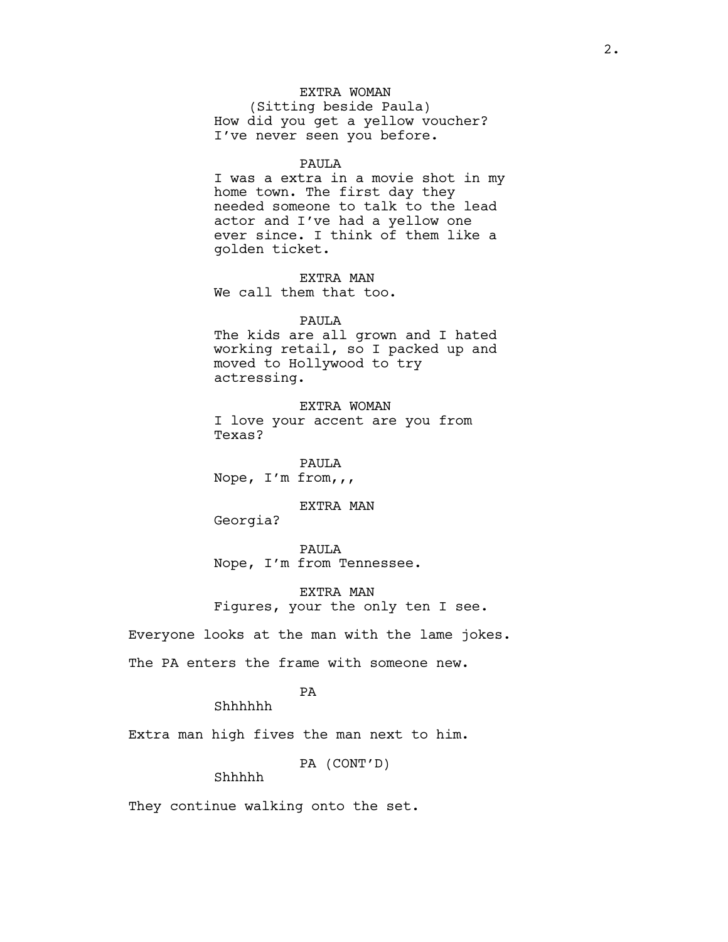# EXTRA WOMAN

(Sitting beside Paula) How did you get a yellow voucher? I've never seen you before.

#### PAULA

I was a extra in a movie shot in my home town. The first day they needed someone to talk to the lead actor and I've had a yellow one ever since. I think of them like a golden ticket.

EXTRA MAN We call them that too.

## PAULA

The kids are all grown and I hated working retail, so I packed up and moved to Hollywood to try actressing.

EXTRA WOMAN I love your accent are you from Texas?

PAULA Nope, I'm from,,,

EXTRA MAN

Georgia?

PAULA Nope, I'm from Tennessee.

EXTRA MAN Figures, your the only ten I see.

Everyone looks at the man with the lame jokes.

The PA enters the frame with someone new.

# PA

Shhhhhh

Extra man high fives the man next to him.

PA (CONT'D)

# Shhhhh

They continue walking onto the set.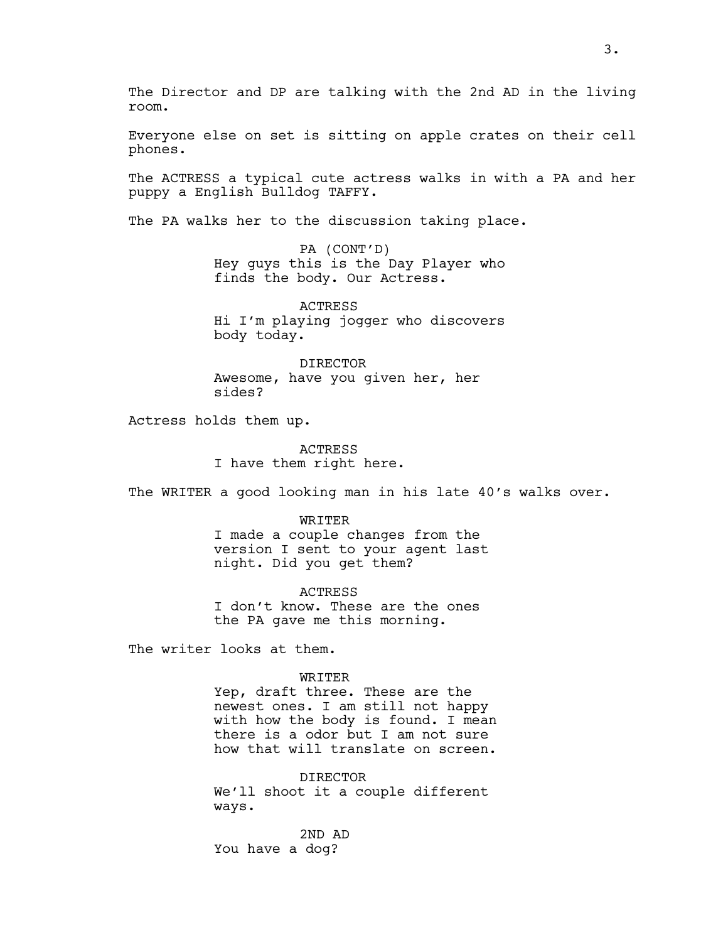The Director and DP are talking with the 2nd AD in the living room.

Everyone else on set is sitting on apple crates on their cell phones.

The ACTRESS a typical cute actress walks in with a PA and her puppy a English Bulldog TAFFY.

The PA walks her to the discussion taking place.

PA (CONT'D) Hey guys this is the Day Player who finds the body. Our Actress.

ACTRESS Hi I'm playing jogger who discovers body today.

DIRECTOR Awesome, have you given her, her sides?

Actress holds them up.

ACTRESS I have them right here.

The WRITER a good looking man in his late 40's walks over.

WRITER I made a couple changes from the version I sent to your agent last night. Did you get them?

ACTRESS I don't know. These are the ones the PA gave me this morning.

The writer looks at them.

#### WRITER

Yep, draft three. These are the newest ones. I am still not happy with how the body is found. I mean there is a odor but I am not sure how that will translate on screen.

DIRECTOR We'll shoot it a couple different ways.

2ND AD You have a dog?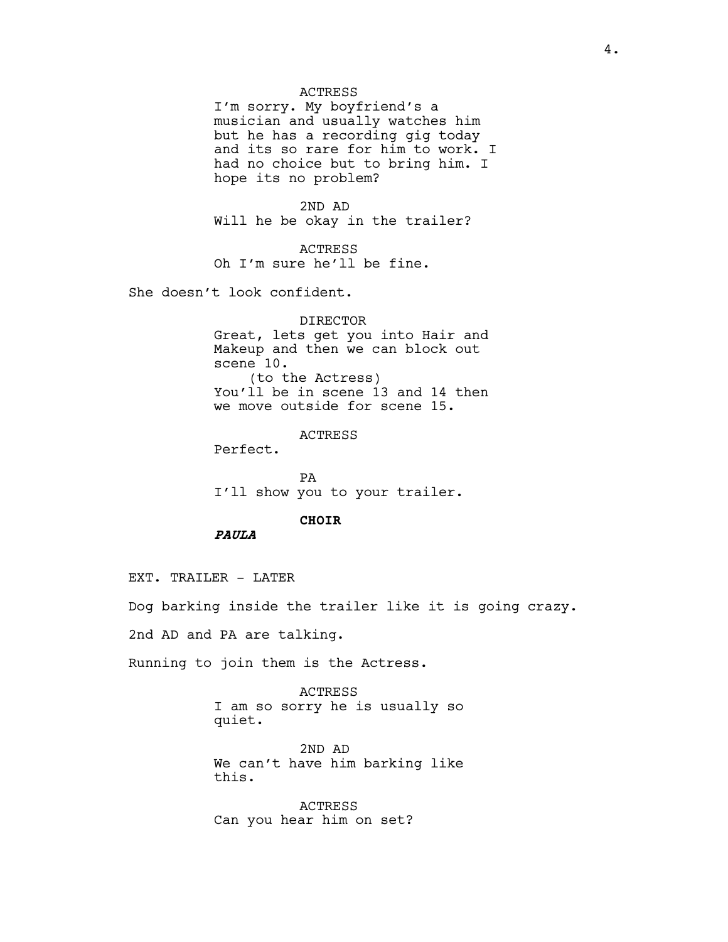#### ACTRESS

I'm sorry. My boyfriend's a musician and usually watches him but he has a recording gig today and its so rare for him to work. I had no choice but to bring him. I hope its no problem?

2ND AD Will he be okay in the trailer?

ACTRESS Oh I'm sure he'll be fine.

She doesn't look confident.

DIRECTOR Great, lets get you into Hair and Makeup and then we can block out scene 10. (to the Actress) You'll be in scene 13 and 14 then we move outside for scene 15.

ACTRESS

Perfect.

PA I'll show you to your trailer.

#### CHOIR

PAULA

EXT. TRAILER - LATER

Dog barking inside the trailer like it is going crazy.

2nd AD and PA are talking.

Running to join them is the Actress.

ACTRESS I am so sorry he is usually so quiet.

2ND AD We can't have him barking like this.

ACTRESS Can you hear him on set?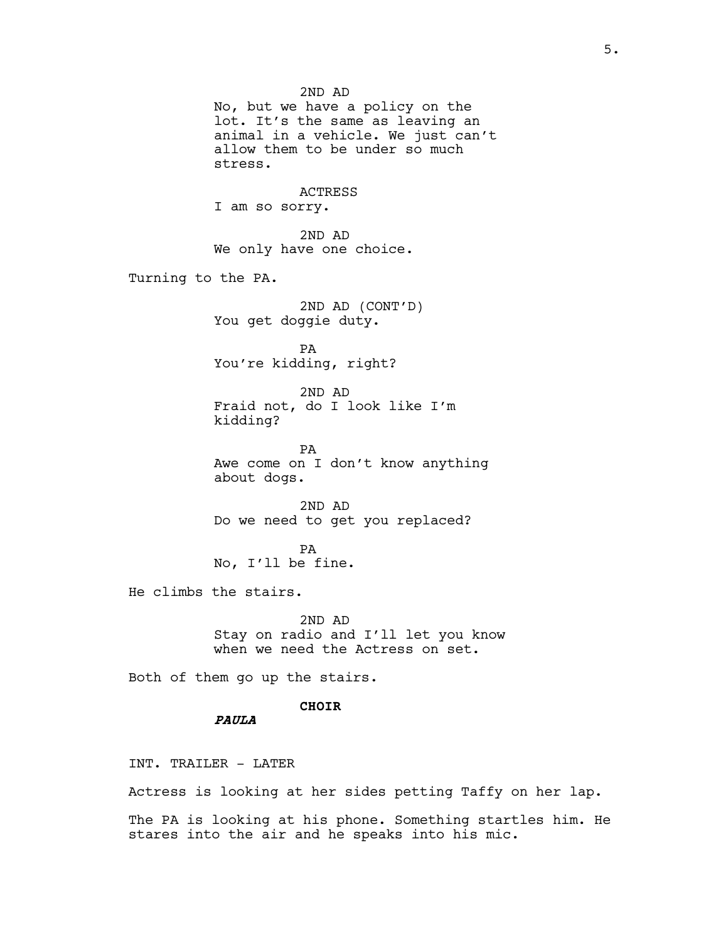2ND AD No, but we have a policy on the lot. It's the same as leaving an animal in a vehicle. We just can't allow them to be under so much stress. ACTRESS I am so sorry. 2ND AD We only have one choice. Turning to the PA. 2ND AD (CONT'D) You get doggie duty. PA You're kidding, right? 2ND AD Fraid not, do I look like I'm kidding? PA Awe come on I don't know anything about dogs. 2ND AD Do we need to get you replaced? PA No, I'll be fine. He climbs the stairs. 2ND AD Stay on radio and I'll let you know when we need the Actress on set. Both of them go up the stairs. CHOIR PAULA

INT. TRAILER - LATER

Actress is looking at her sides petting Taffy on her lap.

The PA is looking at his phone. Something startles him. He stares into the air and he speaks into his mic.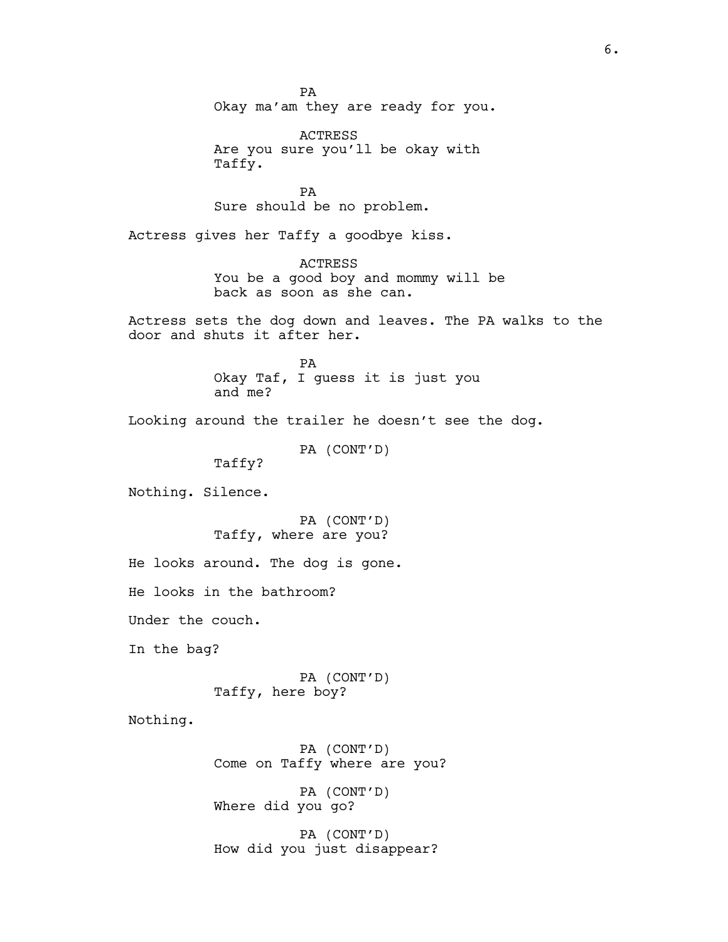PA Okay ma'am they are ready for you.

ACTRESS Are you sure you'll be okay with Taffy.

PA Sure should be no problem.

Actress gives her Taffy a goodbye kiss.

ACTRESS You be a good boy and mommy will be back as soon as she can.

Actress sets the dog down and leaves. The PA walks to the door and shuts it after her.

> PA Okay Taf, I guess it is just you and me?

Looking around the trailer he doesn't see the dog.

PA (CONT'D)

Taffy?

Nothing. Silence.

PA (CONT'D) Taffy, where are you?

He looks around. The dog is gone.

He looks in the bathroom?

Under the couch.

In the bag?

PA (CONT'D) Taffy, here boy?

Nothing.

PA (CONT'D) Come on Taffy where are you? PA (CONT'D)

Where did you go?

PA (CONT'D) How did you just disappear?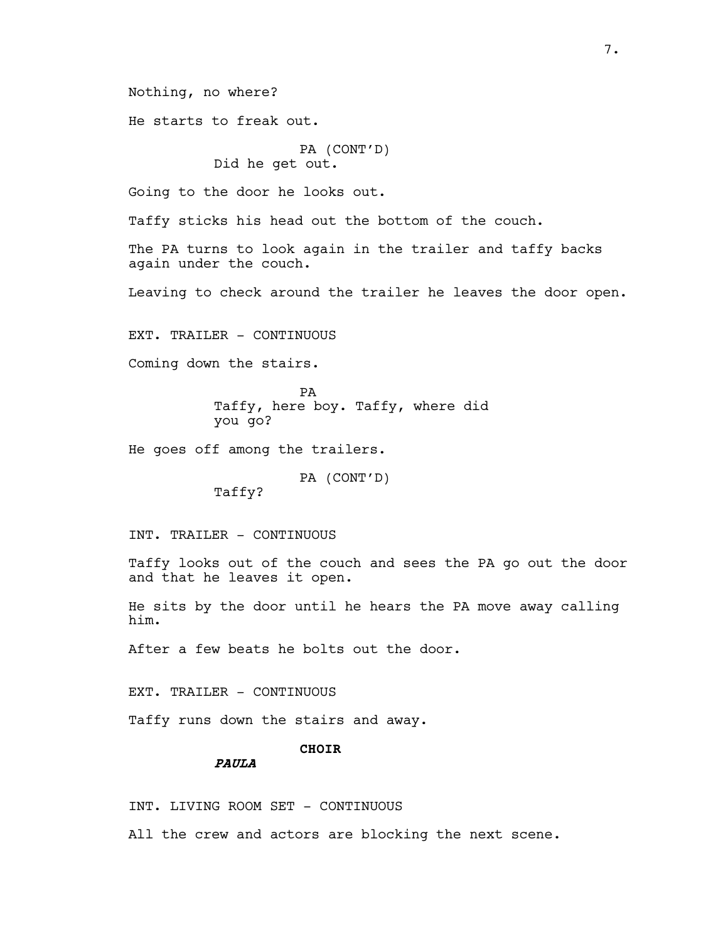Nothing, no where?

He starts to freak out.

# PA (CONT'D) Did he get out.

Going to the door he looks out.

Taffy sticks his head out the bottom of the couch.

The PA turns to look again in the trailer and taffy backs again under the couch.

Leaving to check around the trailer he leaves the door open.

EXT. TRAILER - CONTINUOUS

Coming down the stairs.

PA Taffy, here boy. Taffy, where did you go?

He goes off among the trailers.

PA (CONT'D)

Taffy?

INT. TRAILER - CONTINUOUS

Taffy looks out of the couch and sees the PA go out the door and that he leaves it open.

He sits by the door until he hears the PA move away calling him.

After a few beats he bolts out the door.

EXT. TRAILER - CONTINUOUS

Taffy runs down the stairs and away.

# CHOIR

PAULA

INT. LIVING ROOM SET - CONTINUOUS

All the crew and actors are blocking the next scene.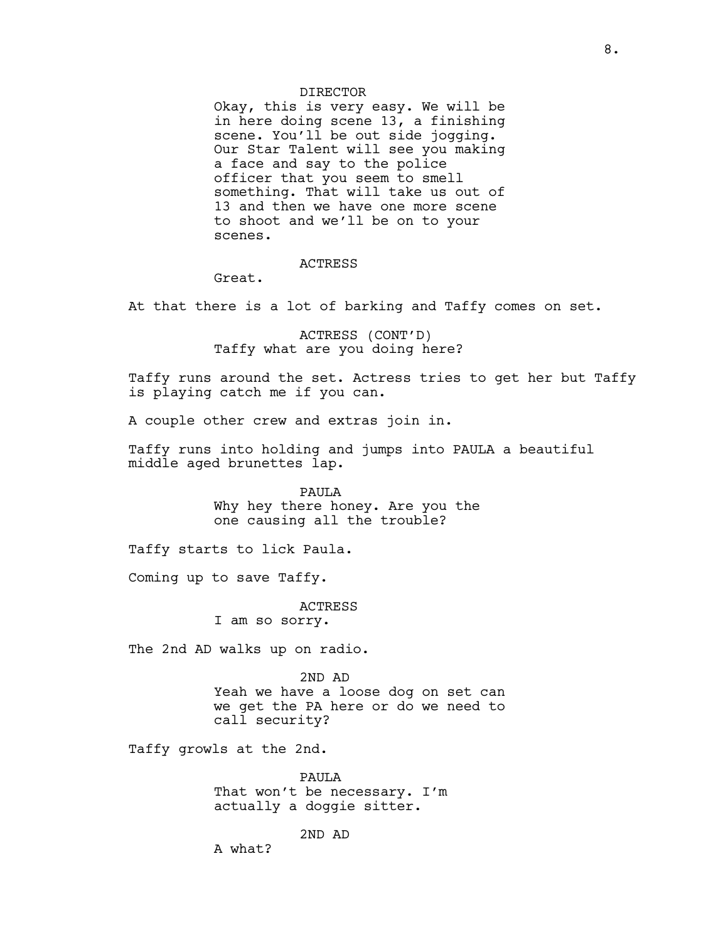#### DIRECTOR

Okay, this is very easy. We will be in here doing scene 13, a finishing scene. You'll be out side jogging. Our Star Talent will see you making a face and say to the police officer that you seem to smell something. That will take us out of 13 and then we have one more scene to shoot and we'll be on to your scenes.

# ACTRESS

Great.

At that there is a lot of barking and Taffy comes on set.

ACTRESS (CONT'D) Taffy what are you doing here?

Taffy runs around the set. Actress tries to get her but Taffy is playing catch me if you can.

A couple other crew and extras join in.

Taffy runs into holding and jumps into PAULA a beautiful middle aged brunettes lap.

> PAULA Why hey there honey. Are you the one causing all the trouble?

Taffy starts to lick Paula.

Coming up to save Taffy.

ACTRESS

I am so sorry.

The 2nd AD walks up on radio.

2ND AD Yeah we have a loose dog on set can we get the PA here or do we need to call security?

Taffy growls at the 2nd.

PAULA That won't be necessary. I'm actually a doggie sitter.

2ND AD

A what?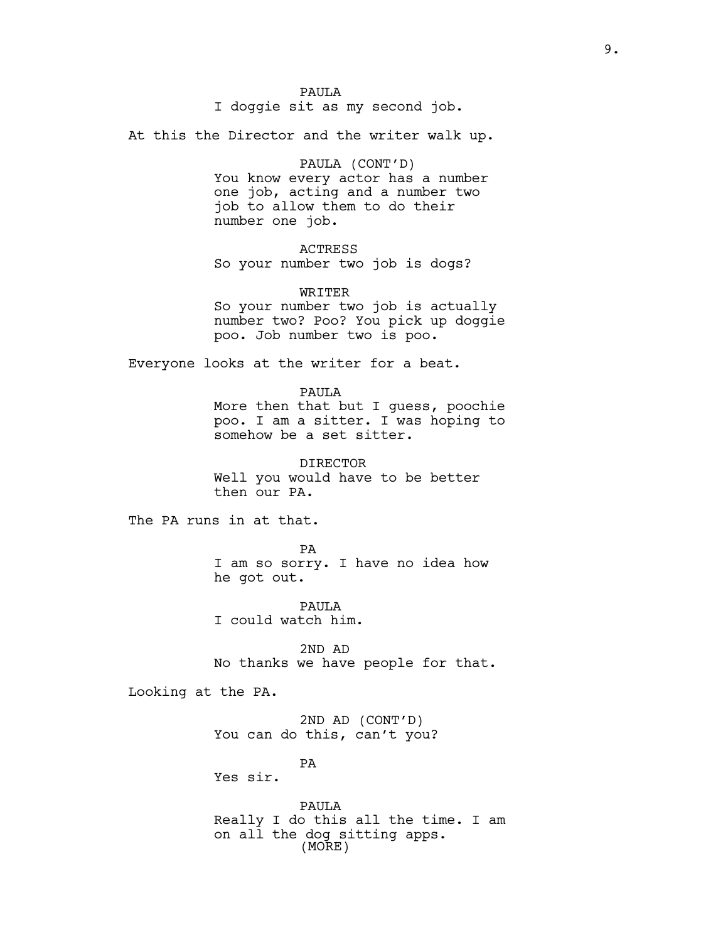I doggie sit as my second job.

At this the Director and the writer walk up.

## PAULA (CONT'D)

You know every actor has a number one job, acting and a number two job to allow them to do their number one job.

# ACTRESS

So your number two job is dogs?

## WRITER

So your number two job is actually number two? Poo? You pick up doggie poo. Job number two is poo.

Everyone looks at the writer for a beat.

PAULA

More then that but I guess, poochie poo. I am a sitter. I was hoping to somehow be a set sitter.

DIRECTOR Well you would have to be better then our PA.

The PA runs in at that.

PA I am so sorry. I have no idea how he got out.

PAULA I could watch him.

2ND AD No thanks we have people for that.

Looking at the PA.

2ND AD (CONT'D) You can do this, can't you?

PA

Yes sir.

PAULA Really I do this all the time. I am on all the dog sitting apps. (MORE)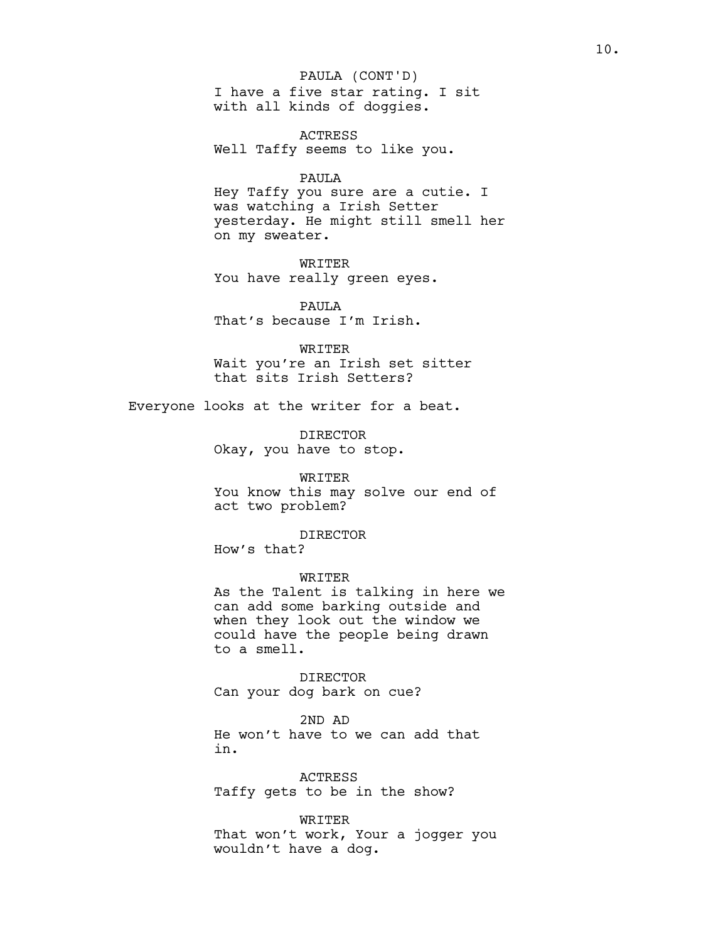# I have a five star rating. I sit with all kinds of doggies. PAULA (CONT'D)

ACTRESS Well Taffy seems to like you.

#### PAULA

Hey Taffy you sure are a cutie. I was watching a Irish Setter yesterday. He might still smell her on my sweater.

WRITER You have really green eyes.

PAULA That's because I'm Irish.

WRITER Wait you're an Irish set sitter that sits Irish Setters?

Everyone looks at the writer for a beat.

DIRECTOR Okay, you have to stop.

### WRITER

You know this may solve our end of act two problem?

#### DIRECTOR

How's that?

WRITER As the Talent is talking in here we can add some barking outside and when they look out the window we could have the people being drawn to a smell.

DIRECTOR Can your dog bark on cue?

#### 2ND AD

He won't have to we can add that in.

ACTRESS Taffy gets to be in the show?

WRITER That won't work, Your a jogger you wouldn't have a dog.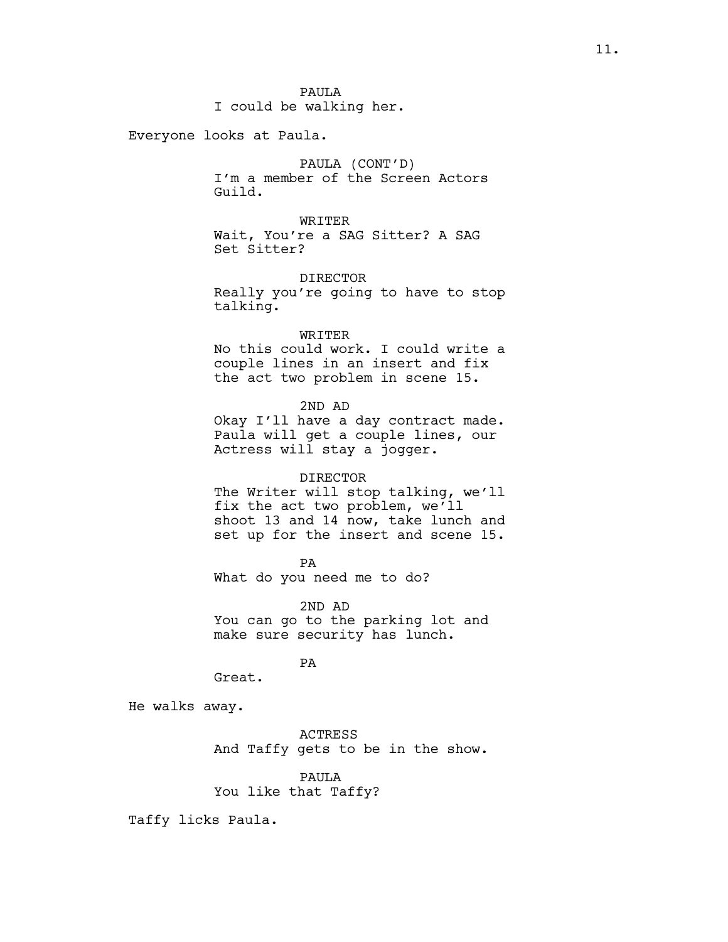PAULA I could be walking her.

Everyone looks at Paula.

PAULA (CONT'D) I'm a member of the Screen Actors Guild.

WRITER Wait, You're a SAG Sitter? A SAG Set Sitter?

DIRECTOR Really you're going to have to stop talking.

WRITER

No this could work. I could write a couple lines in an insert and fix the act two problem in scene 15.

2ND AD

Okay I'll have a day contract made. Paula will get a couple lines, our Actress will stay a jogger.

### DIRECTOR

The Writer will stop talking, we'll fix the act two problem, we'll shoot 13 and 14 now, take lunch and set up for the insert and scene 15.

PA

What do you need me to do?

2ND AD You can go to the parking lot and make sure security has lunch.

#### PA

Great.

He walks away.

ACTRESS And Taffy gets to be in the show.

# PAULA

You like that Taffy?

Taffy licks Paula.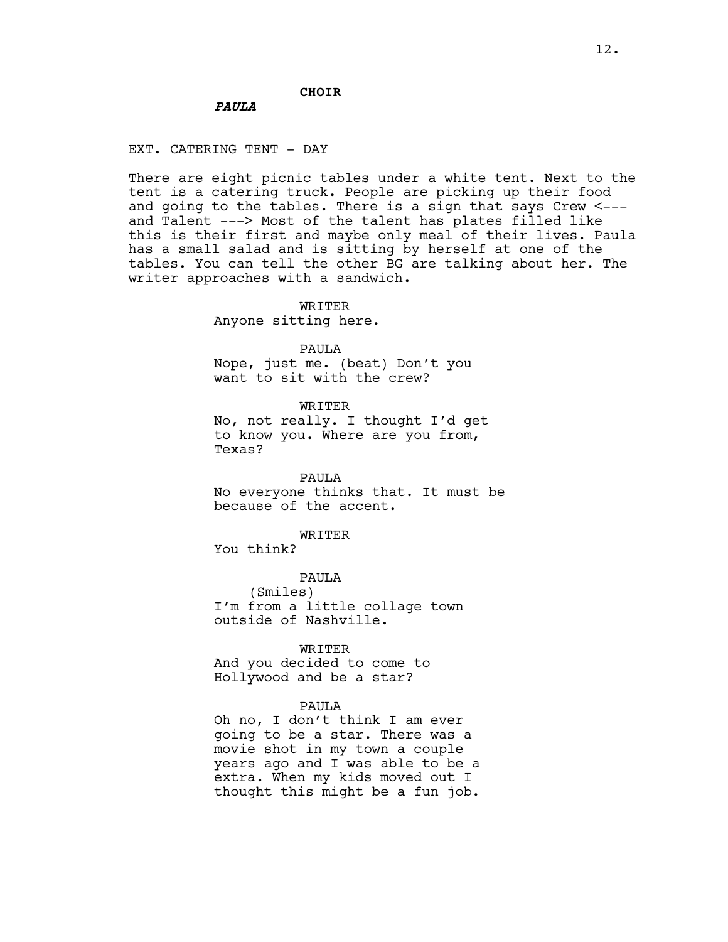## CHOIR

# PAULA

EXT. CATERING TENT - DAY

There are eight picnic tables under a white tent. Next to the tent is a catering truck. People are picking up their food and going to the tables. There is a sign that says Crew <-- and Talent ---> Most of the talent has plates filled like this is their first and maybe only meal of their lives. Paula has a small salad and is sitting by herself at one of the tables. You can tell the other BG are talking about her. The writer approaches with a sandwich.

#### WRITER

Anyone sitting here.

#### PAULA

Nope, just me. (beat) Don't you want to sit with the crew?

WRITER

No, not really. I thought I'd get to know you. Where are you from, Texas?

PAULA No everyone thinks that. It must be because of the accent.

#### WRITER

You think?

PAULA (Smiles) I'm from a little collage town outside of Nashville.

WRITER

And you decided to come to Hollywood and be a star?

## PAULA

Oh no, I don't think I am ever going to be a star. There was a movie shot in my town a couple years ago and I was able to be a extra. When my kids moved out I thought this might be a fun job.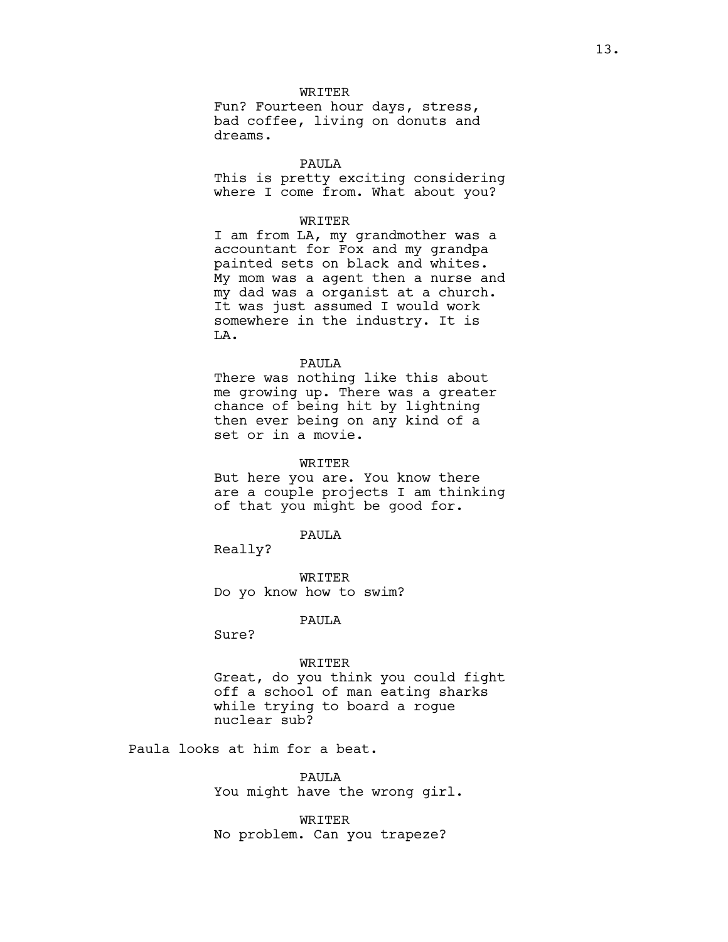WRTTER

Fun? Fourteen hour days, stress, bad coffee, living on donuts and dreams.

## PAULA

This is pretty exciting considering where I come from. What about you?

## WRITER

I am from LA, my grandmother was a accountant for Fox and my grandpa painted sets on black and whites. My mom was a agent then a nurse and my dad was a organist at a church. It was just assumed I would work somewhere in the industry. It is LA.

## PAULA

There was nothing like this about me growing up. There was a greater chance of being hit by lightning then ever being on any kind of a set or in a movie.

#### WRITER

But here you are. You know there are a couple projects I am thinking of that you might be good for.

#### PAULA

Really?

WRITER Do yo know how to swim?

## PAULA

Sure?

#### WRITER

Great, do you think you could fight off a school of man eating sharks while trying to board a rogue nuclear sub?

Paula looks at him for a beat.

PAULA You might have the wrong girl.

WRITER No problem. Can you trapeze?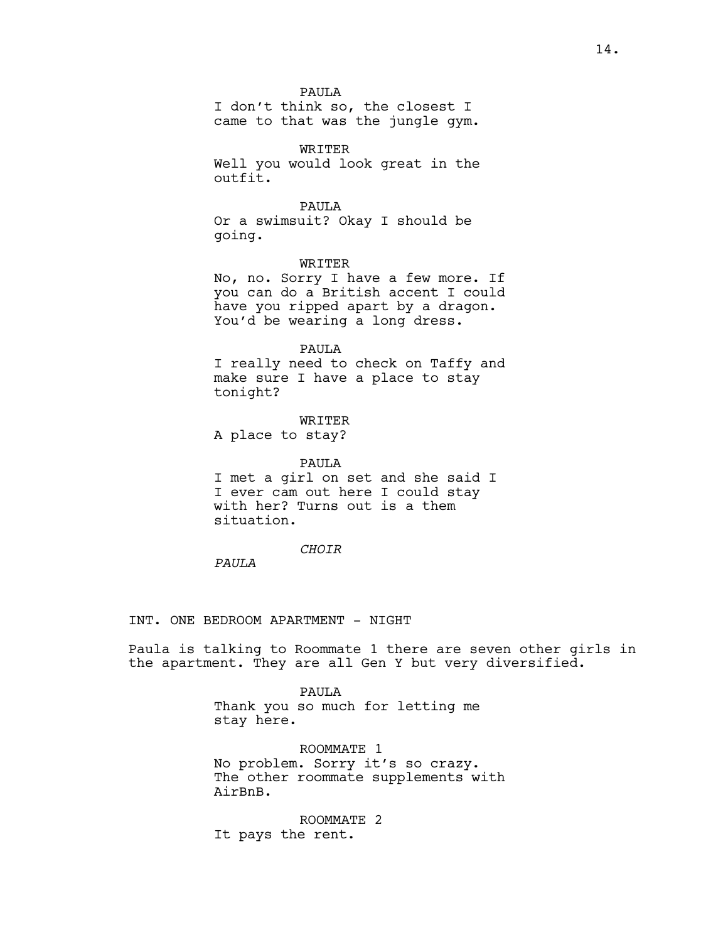PAULA

I don't think so, the closest I came to that was the jungle gym.

WRITER Well you would look great in the outfit.

#### PAULA

Or a swimsuit? Okay I should be going.

## WRITER

No, no. Sorry I have a few more. If you can do a British accent I could have you ripped apart by a dragon. You'd be wearing a long dress.

#### PAULA

I really need to check on Taffy and make sure I have a place to stay tonight?

#### WRITER

A place to stay?

# PAULA I met a girl on set and she said I I ever cam out here I could stay with her? Turns out is a them situation.

# CHOIR

PAULA

## INT. ONE BEDROOM APARTMENT - NIGHT

Paula is talking to Roommate 1 there are seven other girls in the apartment. They are all Gen Y but very diversified.

> PAULA Thank you so much for letting me stay here.

ROOMMATE 1 No problem. Sorry it's so crazy. The other roommate supplements with AirBnB.

ROOMMATE 2 It pays the rent.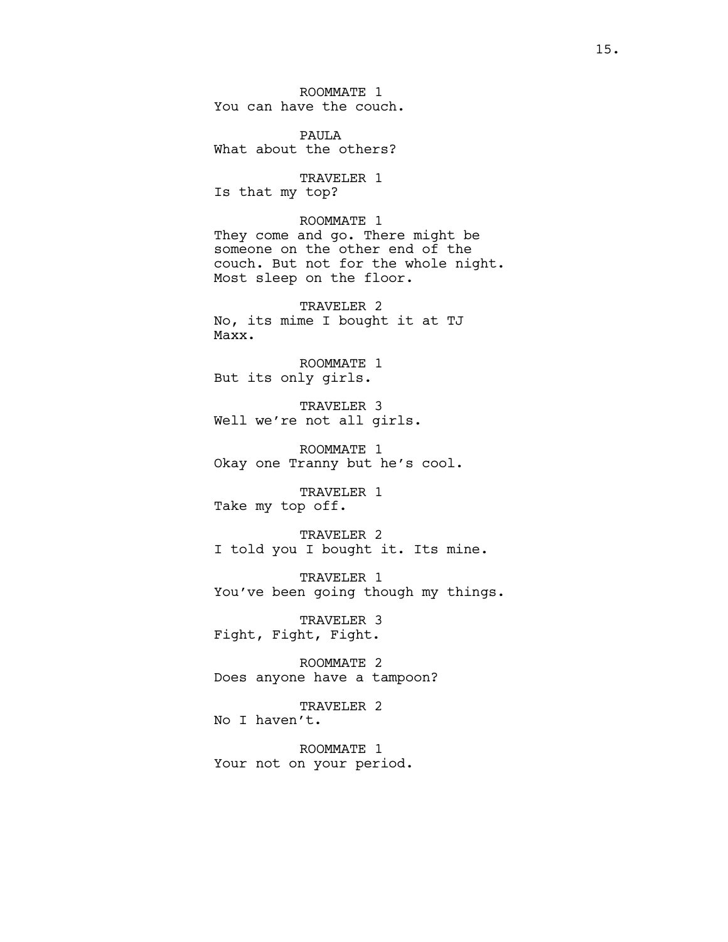ROOMMATE 1 You can have the couch.

PAULA What about the others?

TRAVELER 1 Is that my top?

ROOMMATE 1 They come and go. There might be someone on the other end of the couch. But not for the whole night. Most sleep on the floor.

TRAVELER 2 No, its mime I bought it at TJ Maxx.

ROOMMATE 1 But its only girls.

TRAVELER 3 Well we're not all girls.

ROOMMATE 1 Okay one Tranny but he's cool.

TRAVELER 1 Take my top off.

TRAVELER 2 I told you I bought it. Its mine.

TRAVELER 1 You've been going though my things.

TRAVELER 3 Fight, Fight, Fight.

ROOMMATE 2 Does anyone have a tampoon?

TRAVELER 2 No I haven't.

ROOMMATE 1 Your not on your period.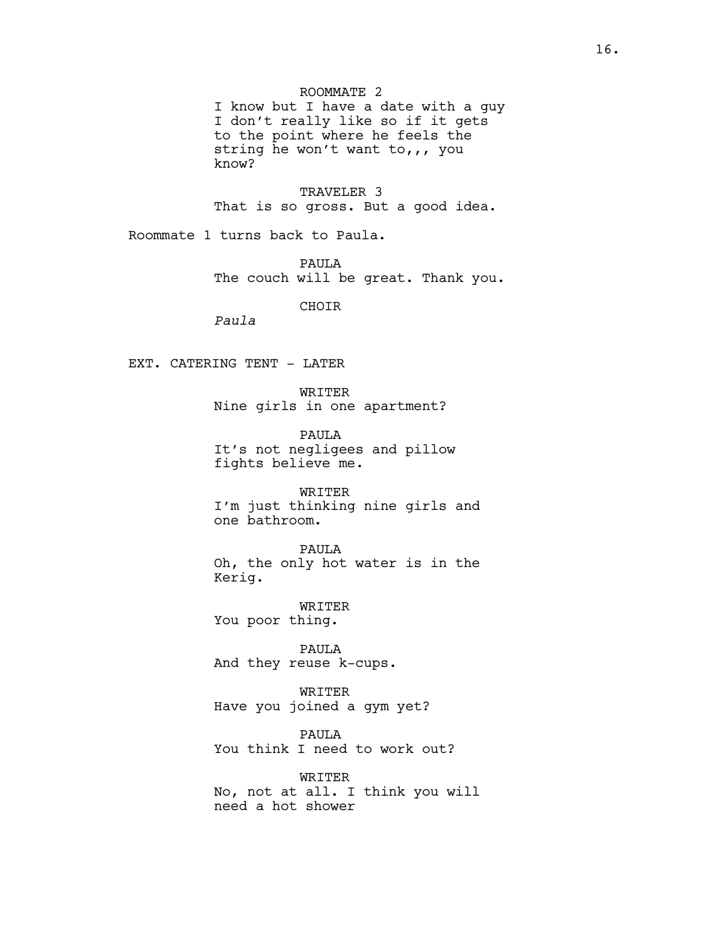ROOMMATE 2

I know but I have a date with a guy I don't really like so if it gets to the point where he feels the string he won't want to,,, you know?

TRAVELER 3 That is so gross. But a good idea.

Roommate 1 turns back to Paula.

PAULA The couch will be great. Thank you.

CHOIR

Paula

EXT. CATERING TENT - LATER

WRITER Nine girls in one apartment?

PAULA It's not negligees and pillow fights believe me.

WRITER I'm just thinking nine girls and one bathroom.

PAULA Oh, the only hot water is in the Kerig.

WRITER You poor thing.

PAULA And they reuse k-cups.

WRITER Have you joined a gym yet?

PAULA You think I need to work out?

WRITER No, not at all. I think you will need a hot shower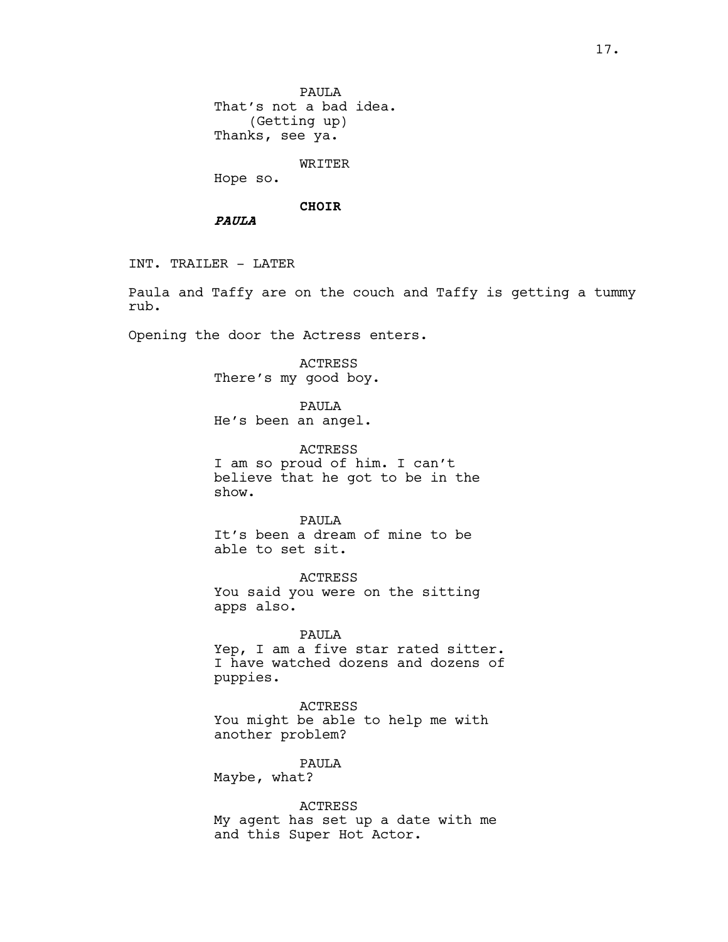WRITER

Hope so.

#### CHOIR

PAULA

INT. TRAILER - LATER

Paula and Taffy are on the couch and Taffy is getting a tummy rub.

Opening the door the Actress enters.

ACTRESS There's my good boy.

PAULA He's been an angel.

ACTRESS I am so proud of him. I can't believe that he got to be in the show.

PAULA It's been a dream of mine to be able to set sit.

ACTRESS You said you were on the sitting apps also.

PAULA Yep, I am a five star rated sitter. I have watched dozens and dozens of puppies.

ACTRESS You might be able to help me with another problem?

PAULA

Maybe, what?

ACTRESS My agent has set up a date with me and this Super Hot Actor.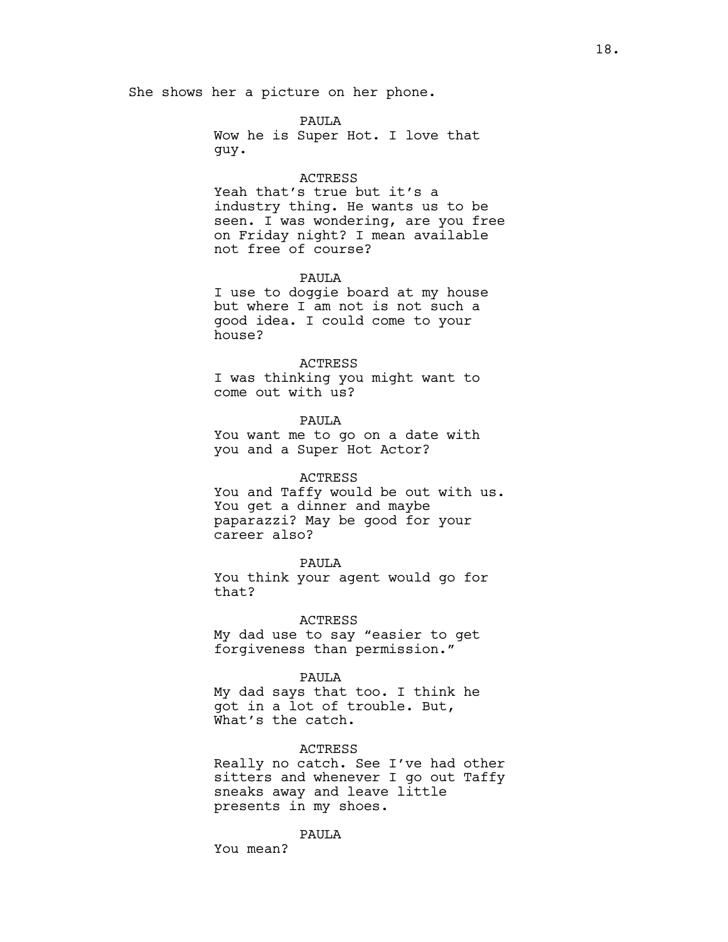She shows her a picture on her phone.

PAULA Wow he is Super Hot. I love that guy.

#### ACTRESS

Yeah that's true but it's a industry thing. He wants us to be seen. I was wondering, are you free on Friday night? I mean available not free of course?

## PAULA

I use to doggie board at my house but where I am not is not such a good idea. I could come to your house?

#### ACTRESS

I was thinking you might want to come out with us?

PAULA You want me to go on a date with you and a Super Hot Actor?

### ACTRESS

You and Taffy would be out with us. You get a dinner and maybe paparazzi? May be good for your career also?

## PAULA

You think your agent would go for that?

#### ACTRESS

My dad use to say "easier to get forgiveness than permission."

#### PAULA

My dad says that too. I think he got in a lot of trouble. But, What's the catch.

#### ACTRESS

Really no catch. See I've had other sitters and whenever I go out Taffy sneaks away and leave little presents in my shoes.

## PAULA

You mean?